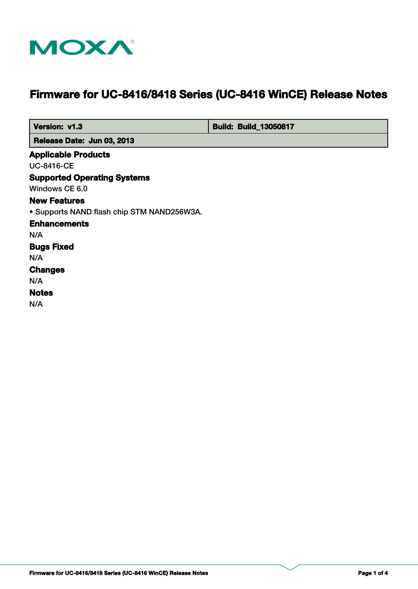

# **Firmware for UC-8416/8418 Series (UC-8416 WinCE) Release Notes**

 **Version: v1.3 bigger and the United States of Build: Build: Build\_13050817** 

 **Release Date: Jun 03, 2013**

# **Applicable Products**

UC-8416-CE

#### **Supported Operating Systems**

Windows CE 6.0

#### **New Features**

• Supports NAND flash chip STM NAND256W3A.

# **Enhancements**

N/A

## **Bugs Fixed**

N/A

#### **Changes**

N/A

# **Notes**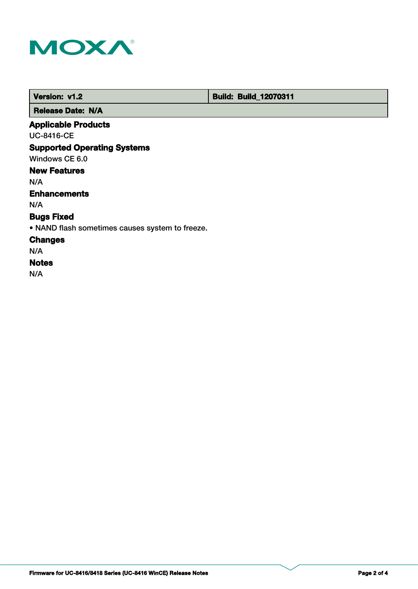

 **Version: v1.2 Build: Build: Build\_12070311** 

 **Release Date: N/A**

# **Applicable Products**

UC-8416-CE

# **Supported Operating Systems**

Windows CE 6.0

# **New Features**

N/A

#### **Enhancements**

N/A

# **Bugs Fixed**

• NAND flash sometimes causes system to freeze.

#### **Changes**

N/A

#### **Notes**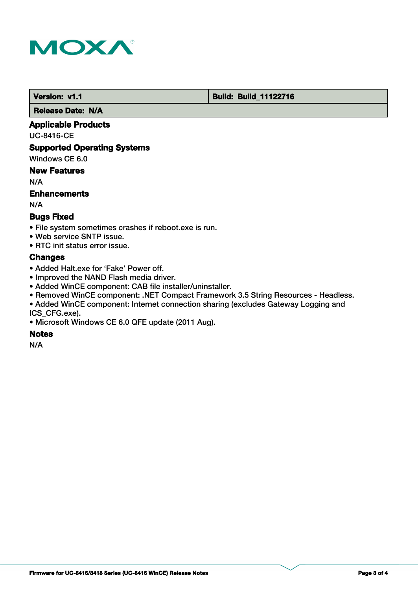

**Version: v1.1 Version: v1.1 Build: Build: Build: 11122716** 

 **Release Date: N/A**

#### **Applicable Products**

UC-8416-CE

#### **Supported Operating Systems**

Windows CE 6.0

#### **New Features**

N/A

#### **Enhancements**

N/A

#### **Bugs Fixed**

- File system sometimes crashes if reboot.exe is run.
- Web service SNTP issue.
- RTC init status error issue.

#### **Changes**

- Added Halt.exe for 'Fake' Power off.
- Improved the NAND Flash media driver.
- Added WinCE component: CAB file installer/uninstaller.
- Removed WinCE component: .NET Compact Framework 3.5 String Resources Headless.
- Added WinCE component: Internet connection sharing (excludes Gateway Logging and ICS\_CFG.exe).
- Microsoft Windows CE 6.0 QFE update (2011 Aug).

#### **Notes**